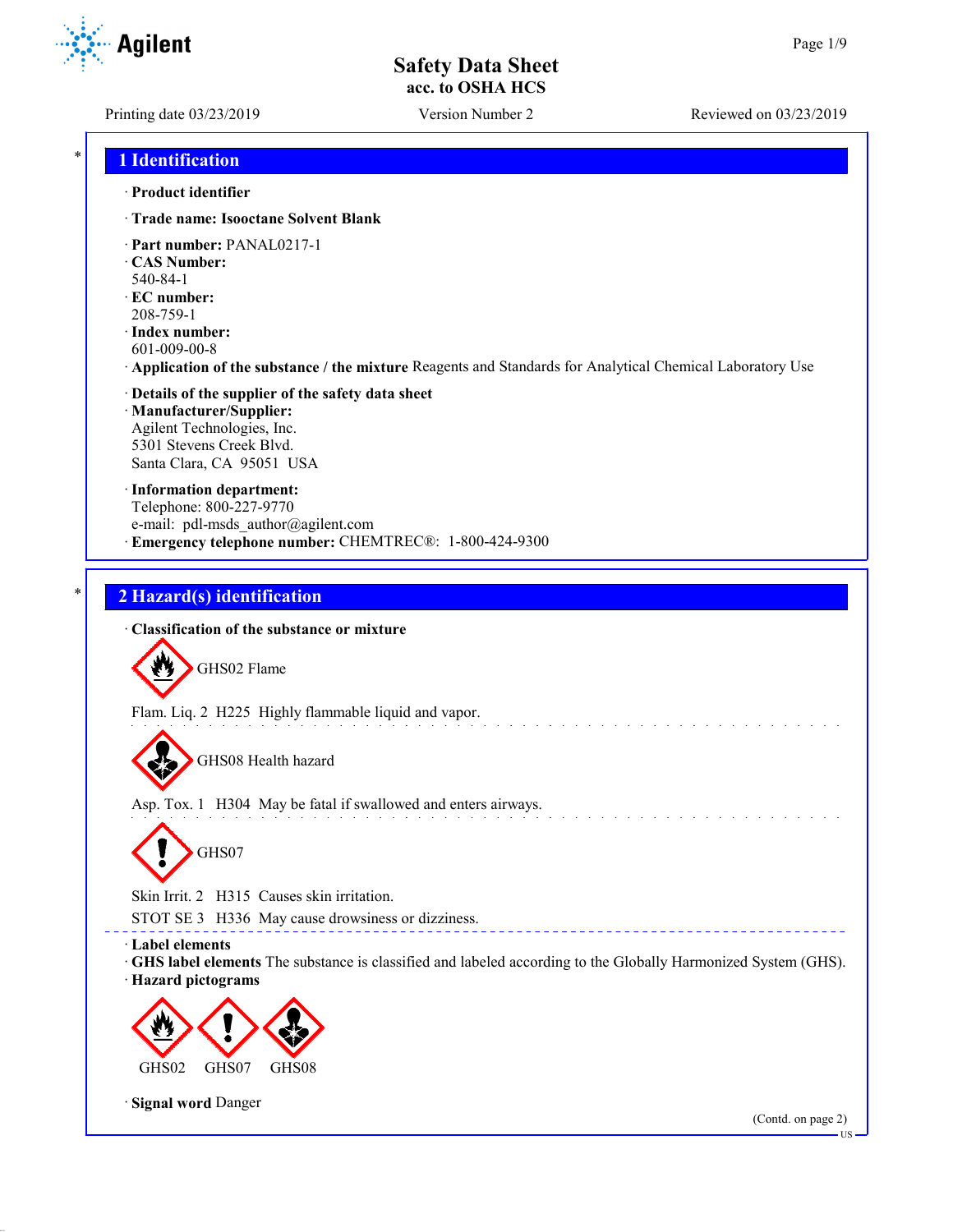**Agilent** 

Printing date 03/23/2019 Version Number 2 Reviewed on 03/23/2019

## \* **1 Identification**

#### · **Product identifier**

- · **Trade name: Isooctane Solvent Blank**
- · **Part number:** PANAL0217-1
- · **CAS Number:**
- 540-84-1
- · **EC number:** 208-759-1
- · **Index number:** 601-009-00-8
- · **Application of the substance / the mixture** Reagents and Standards for Analytical Chemical Laboratory Use
- · **Details of the supplier of the safety data sheet** · **Manufacturer/Supplier:** Agilent Technologies, Inc. 5301 Stevens Creek Blvd. Santa Clara, CA 95051 USA
- · **Information department:** Telephone: 800-227-9770 e-mail: pdl-msds author@agilent.com · **Emergency telephone number:** CHEMTREC®: 1-800-424-9300

# \* **2 Hazard(s) identification**

· **Classification of the substance or mixture** GHS02 Flame Flam. Liq. 2 H225 Highly flammable liquid and vapor. GHS08 Health hazard Asp. Tox. 1 H304 May be fatal if swallowed and enters airways. GHS07 Skin Irrit. 2 H315 Causes skin irritation. STOT SE 3 H336 May cause drowsiness or dizziness. · **Label elements** · **GHS label elements** The substance is classified and labeled according to the Globally Harmonized System (GHS). · **Hazard pictograms** GHS02 GHS07 GHS08 · **Signal word** Danger (Contd. on page 2) US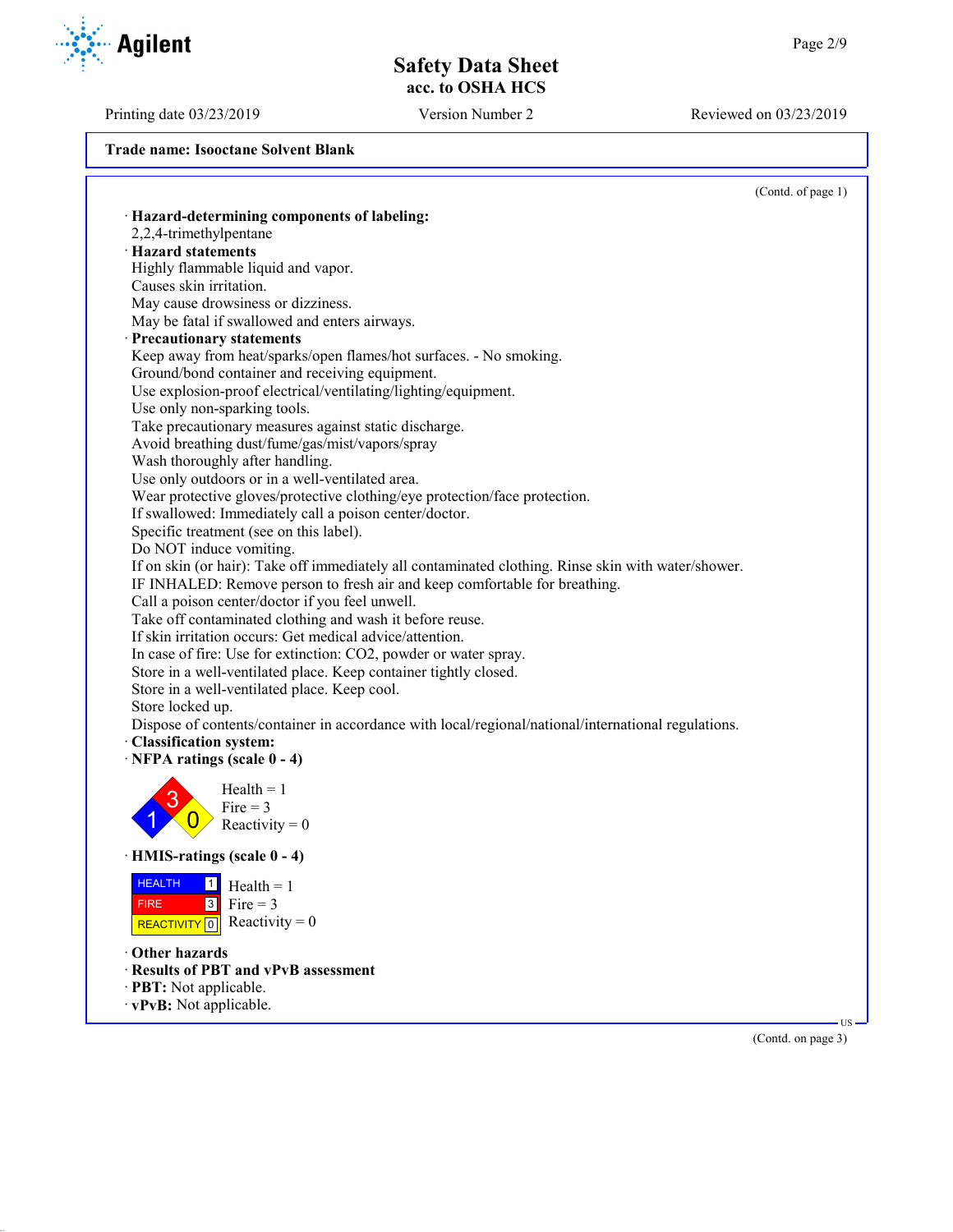Printing date 03/23/2019 Version Number 2 Reviewed on 03/23/2019

**Trade name: Isooctane Solvent Blank**

|                                                                                                     | (Contd. of page 1) |
|-----------------------------------------------------------------------------------------------------|--------------------|
| · Hazard-determining components of labeling:                                                        |                    |
| 2,2,4-trimethylpentane                                                                              |                    |
| · Hazard statements                                                                                 |                    |
| Highly flammable liquid and vapor.                                                                  |                    |
| Causes skin irritation.                                                                             |                    |
| May cause drowsiness or dizziness.                                                                  |                    |
| May be fatal if swallowed and enters airways.                                                       |                    |
| · Precautionary statements                                                                          |                    |
| Keep away from heat/sparks/open flames/hot surfaces. - No smoking.                                  |                    |
| Ground/bond container and receiving equipment.                                                      |                    |
| Use explosion-proof electrical/ventilating/lighting/equipment.                                      |                    |
| Use only non-sparking tools.                                                                        |                    |
| Take precautionary measures against static discharge.                                               |                    |
| Avoid breathing dust/fume/gas/mist/vapors/spray                                                     |                    |
| Wash thoroughly after handling.                                                                     |                    |
| Use only outdoors or in a well-ventilated area.                                                     |                    |
| Wear protective gloves/protective clothing/eye protection/face protection.                          |                    |
| If swallowed: Immediately call a poison center/doctor.                                              |                    |
| Specific treatment (see on this label).                                                             |                    |
| Do NOT induce vomiting.                                                                             |                    |
| If on skin (or hair): Take off immediately all contaminated clothing. Rinse skin with water/shower. |                    |
| IF INHALED: Remove person to fresh air and keep comfortable for breathing.                          |                    |
| Call a poison center/doctor if you feel unwell.                                                     |                    |
| Take off contaminated clothing and wash it before reuse.                                            |                    |
| If skin irritation occurs: Get medical advice/attention.                                            |                    |
| In case of fire: Use for extinction: CO2, powder or water spray.                                    |                    |
| Store in a well-ventilated place. Keep container tightly closed.                                    |                    |
| Store in a well-ventilated place. Keep cool.                                                        |                    |
| Store locked up.                                                                                    |                    |
|                                                                                                     |                    |
| Dispose of contents/container in accordance with local/regional/national/international regulations. |                    |
| · Classification system:                                                                            |                    |
| $\cdot$ NFPA ratings (scale 0 - 4)                                                                  |                    |
| $Health = 1$                                                                                        |                    |
| Fire $=$ 3                                                                                          |                    |
| Reactivity = $0$                                                                                    |                    |
|                                                                                                     |                    |
| · HMIS-ratings (scale 0 - 4)                                                                        |                    |
| <b>HEALTH</b><br>$\boxed{1}$ Health = 1                                                             |                    |
| Fire = $3$<br>$\sqrt{3}$<br><b>FIRE</b>                                                             |                    |
| REACTIVITY 0 Reactivity = 0                                                                         |                    |
|                                                                                                     |                    |
|                                                                                                     |                    |
| Other hazards                                                                                       |                    |
| · Results of PBT and vPvB assessment                                                                |                    |
| · PBT: Not applicable.<br>· vPvB: Not applicable.                                                   |                    |

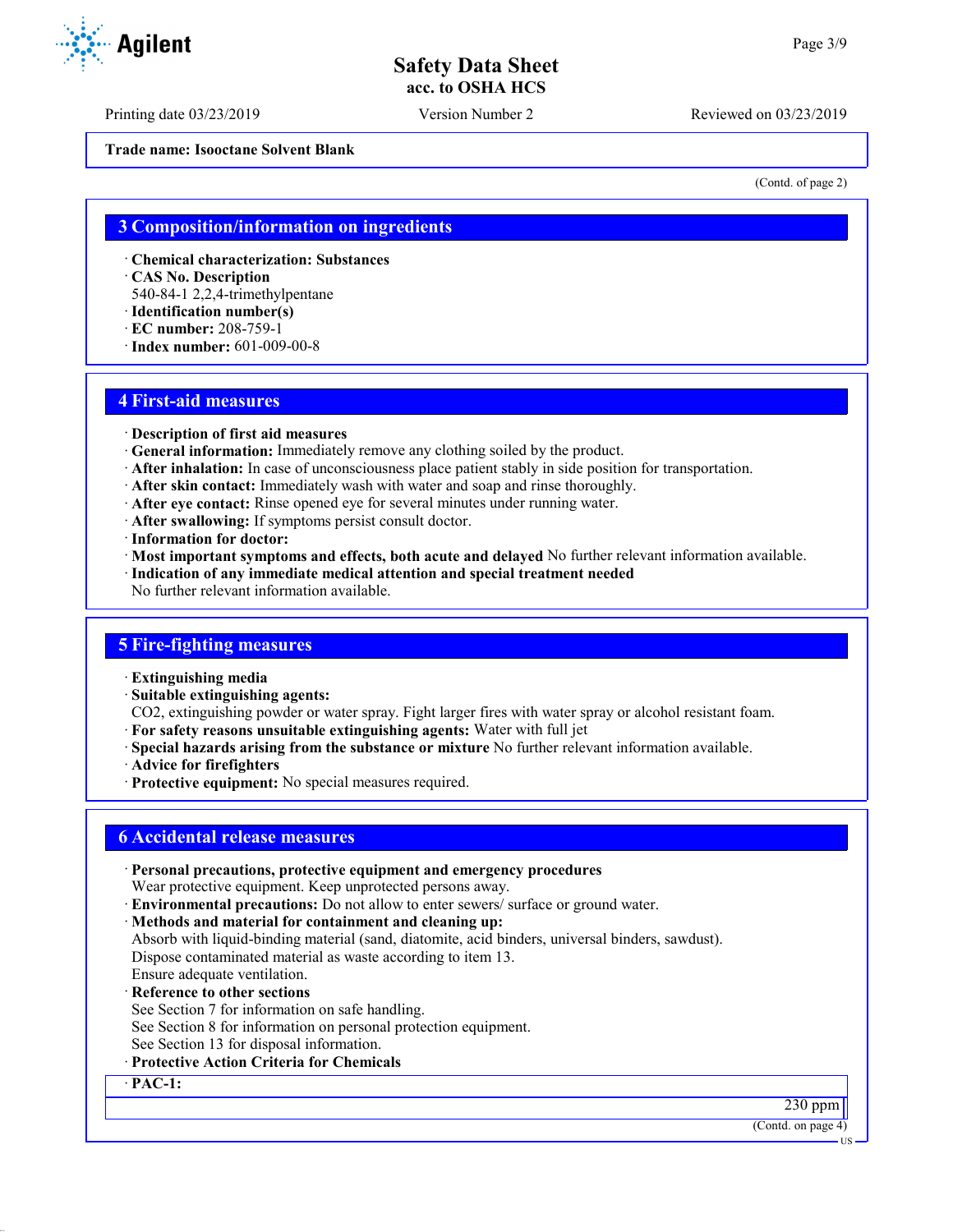Printing date 03/23/2019 Version Number 2 Reviewed on 03/23/2019

**Trade name: Isooctane Solvent Blank**

(Contd. of page 2)

## **3 Composition/information on ingredients**

· **Chemical characterization: Substances**

· **CAS No. Description**

540-84-1 2,2,4-trimethylpentane

- · **Identification number(s)**
- · **EC number:** 208-759-1
- · **Index number:** 601-009-00-8

## **4 First-aid measures**

- · **Description of first aid measures**
- · **General information:** Immediately remove any clothing soiled by the product.
- · **After inhalation:** In case of unconsciousness place patient stably in side position for transportation.
- · **After skin contact:** Immediately wash with water and soap and rinse thoroughly.
- · **After eye contact:** Rinse opened eye for several minutes under running water.
- · **After swallowing:** If symptoms persist consult doctor.
- · **Information for doctor:**
- · **Most important symptoms and effects, both acute and delayed** No further relevant information available.
- · **Indication of any immediate medical attention and special treatment needed**

No further relevant information available.

## **5 Fire-fighting measures**

- · **Extinguishing media**
- · **Suitable extinguishing agents:**
- CO2, extinguishing powder or water spray. Fight larger fires with water spray or alcohol resistant foam.
- · **For safety reasons unsuitable extinguishing agents:** Water with full jet
- · **Special hazards arising from the substance or mixture** No further relevant information available.
- · **Advice for firefighters**
- · **Protective equipment:** No special measures required.

## **6 Accidental release measures**

- · **Personal precautions, protective equipment and emergency procedures** Wear protective equipment. Keep unprotected persons away.
- · **Environmental precautions:** Do not allow to enter sewers/ surface or ground water.
- · **Methods and material for containment and cleaning up:**
- Absorb with liquid-binding material (sand, diatomite, acid binders, universal binders, sawdust). Dispose contaminated material as waste according to item 13.
- Ensure adequate ventilation.
- · **Reference to other sections**
- See Section 7 for information on safe handling.
- See Section 8 for information on personal protection equipment.
- See Section 13 for disposal information.
- · **Protective Action Criteria for Chemicals**

· **PAC-1:**

(Contd. on page 4)





230 ppm

US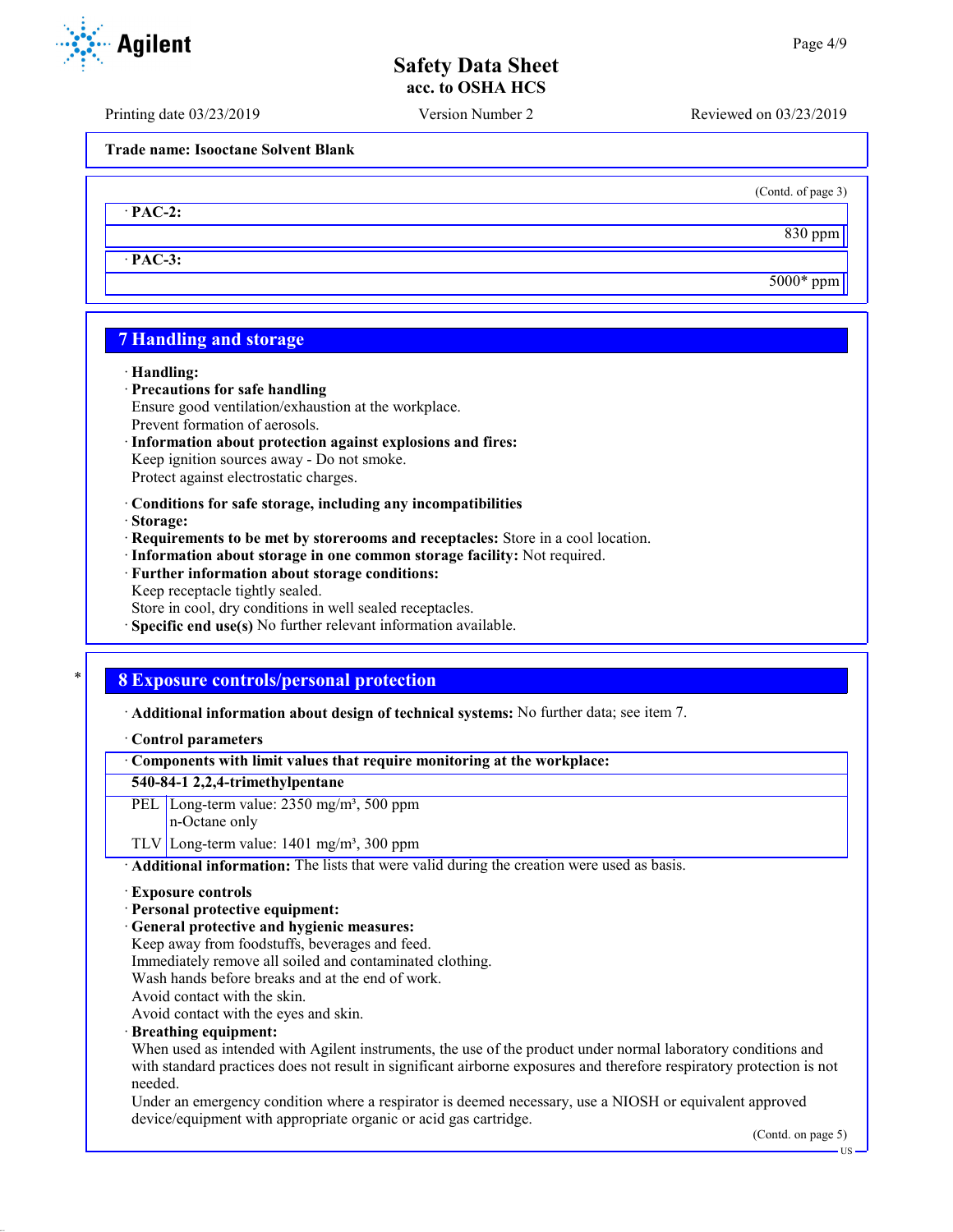Printing date 03/23/2019 Version Number 2 Reviewed on 03/23/2019

**Trade name: Isooctane Solvent Blank**

· **PAC-2:**

· **PAC-3:**

## **7 Handling and storage**

#### · **Handling:**

- · **Precautions for safe handling**
- Ensure good ventilation/exhaustion at the workplace. Prevent formation of aerosols.
- · **Information about protection against explosions and fires:** Keep ignition sources away - Do not smoke. Protect against electrostatic charges.
- · **Conditions for safe storage, including any incompatibilities**
- · **Storage:**
- · **Requirements to be met by storerooms and receptacles:** Store in a cool location.
- · **Information about storage in one common storage facility:** Not required.
- · **Further information about storage conditions:** Keep receptacle tightly sealed. Store in cool, dry conditions in well sealed receptacles.
- · **Specific end use(s)** No further relevant information available.

## \* **8 Exposure controls/personal protection**

· **Additional information about design of technical systems:** No further data; see item 7.

· **Control parameters**

· **Components with limit values that require monitoring at the workplace:**

## **540-84-1 2,2,4-trimethylpentane**

- PEL Long-term value: 2350 mg/m<sup>3</sup>, 500 ppm
	- n-Octane only

TLV Long-term value:  $1401 \text{ mg/m}^3$ , 300 ppm

· **Additional information:** The lists that were valid during the creation were used as basis.

- · **Exposure controls**
- · **Personal protective equipment:**
- · **General protective and hygienic measures:**
- Keep away from foodstuffs, beverages and feed.
- Immediately remove all soiled and contaminated clothing.
- Wash hands before breaks and at the end of work.
- Avoid contact with the skin.

Avoid contact with the eyes and skin.

· **Breathing equipment:**

When used as intended with Agilent instruments, the use of the product under normal laboratory conditions and with standard practices does not result in significant airborne exposures and therefore respiratory protection is not needed.

Under an emergency condition where a respirator is deemed necessary, use a NIOSH or equivalent approved device/equipment with appropriate organic or acid gas cartridge.

(Contd. on page 5)



(Contd. of page 3)

830 ppm

5000\* ppm

US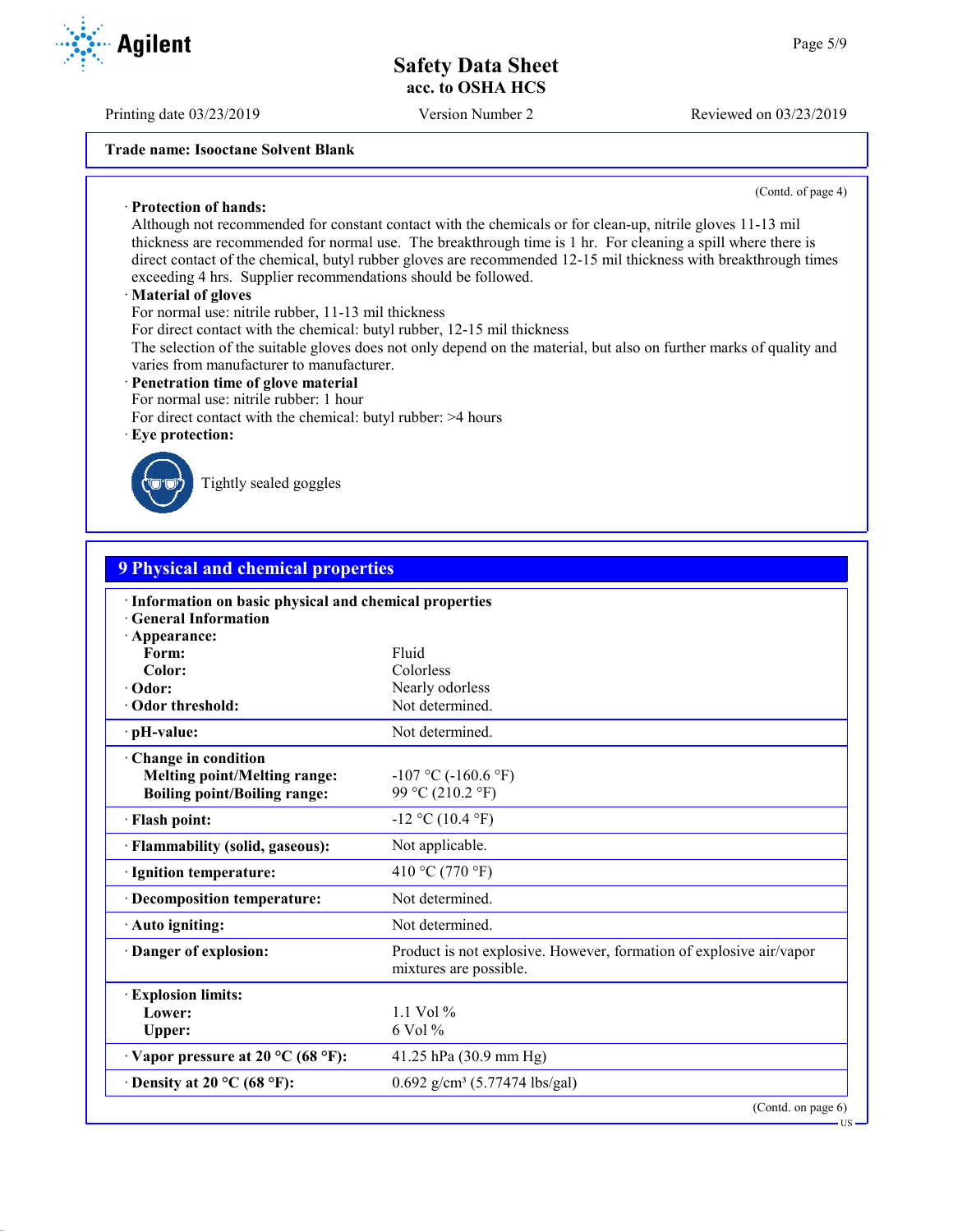Printing date 03/23/2019 Version Number 2 Reviewed on 03/23/2019

**Trade name: Isooctane Solvent Blank**

(Contd. of page 4)

US

· **Protection of hands:** Although not recommended for constant contact with the chemicals or for clean-up, nitrile gloves 11-13 mil thickness are recommended for normal use. The breakthrough time is 1 hr. For cleaning a spill where there is direct contact of the chemical, butyl rubber gloves are recommended 12-15 mil thickness with breakthrough times exceeding 4 hrs. Supplier recommendations should be followed.

#### · **Material of gloves**

For normal use: nitrile rubber, 11-13 mil thickness

For direct contact with the chemical: butyl rubber, 12-15 mil thickness

The selection of the suitable gloves does not only depend on the material, but also on further marks of quality and varies from manufacturer to manufacturer.

#### · **Penetration time of glove material**

For normal use: nitrile rubber: 1 hour

For direct contact with the chemical: butyl rubber: >4 hours

#### · **Eye protection:**



Tightly sealed goggles

| <b>9 Physical and chemical properties</b>                                                         |                                                                                               |
|---------------------------------------------------------------------------------------------------|-----------------------------------------------------------------------------------------------|
| · Information on basic physical and chemical properties<br><b>General Information</b>             |                                                                                               |
| · Appearance:                                                                                     | Fluid                                                                                         |
| Form:<br>Color:                                                                                   | Colorless                                                                                     |
| · Odor:                                                                                           | Nearly odorless                                                                               |
| Odor threshold:                                                                                   | Not determined.                                                                               |
| · pH-value:                                                                                       | Not determined.                                                                               |
| Change in condition<br><b>Melting point/Melting range:</b><br><b>Boiling point/Boiling range:</b> | $-107$ °C ( $-160.6$ °F)<br>99 °C (210.2 °F)                                                  |
| · Flash point:                                                                                    | $-12$ °C (10.4 °F)                                                                            |
| · Flammability (solid, gaseous):                                                                  | Not applicable.                                                                               |
| · Ignition temperature:                                                                           | 410 °C (770 °F)                                                                               |
| · Decomposition temperature:                                                                      | Not determined.                                                                               |
| · Auto igniting:                                                                                  | Not determined.                                                                               |
| Danger of explosion:                                                                              | Product is not explosive. However, formation of explosive air/vapor<br>mixtures are possible. |
| <b>Explosion limits:</b><br>Lower:<br>Upper:                                                      | 1.1 Vol $\%$<br>6 Vol %                                                                       |
| $\cdot$ Vapor pressure at 20 °C (68 °F):                                                          | 41.25 hPa $(30.9 \text{ mm Hg})$                                                              |
| $\cdot$ Density at 20 °C (68 °F):                                                                 | $0.692$ g/cm <sup>3</sup> (5.77474 lbs/gal)                                                   |

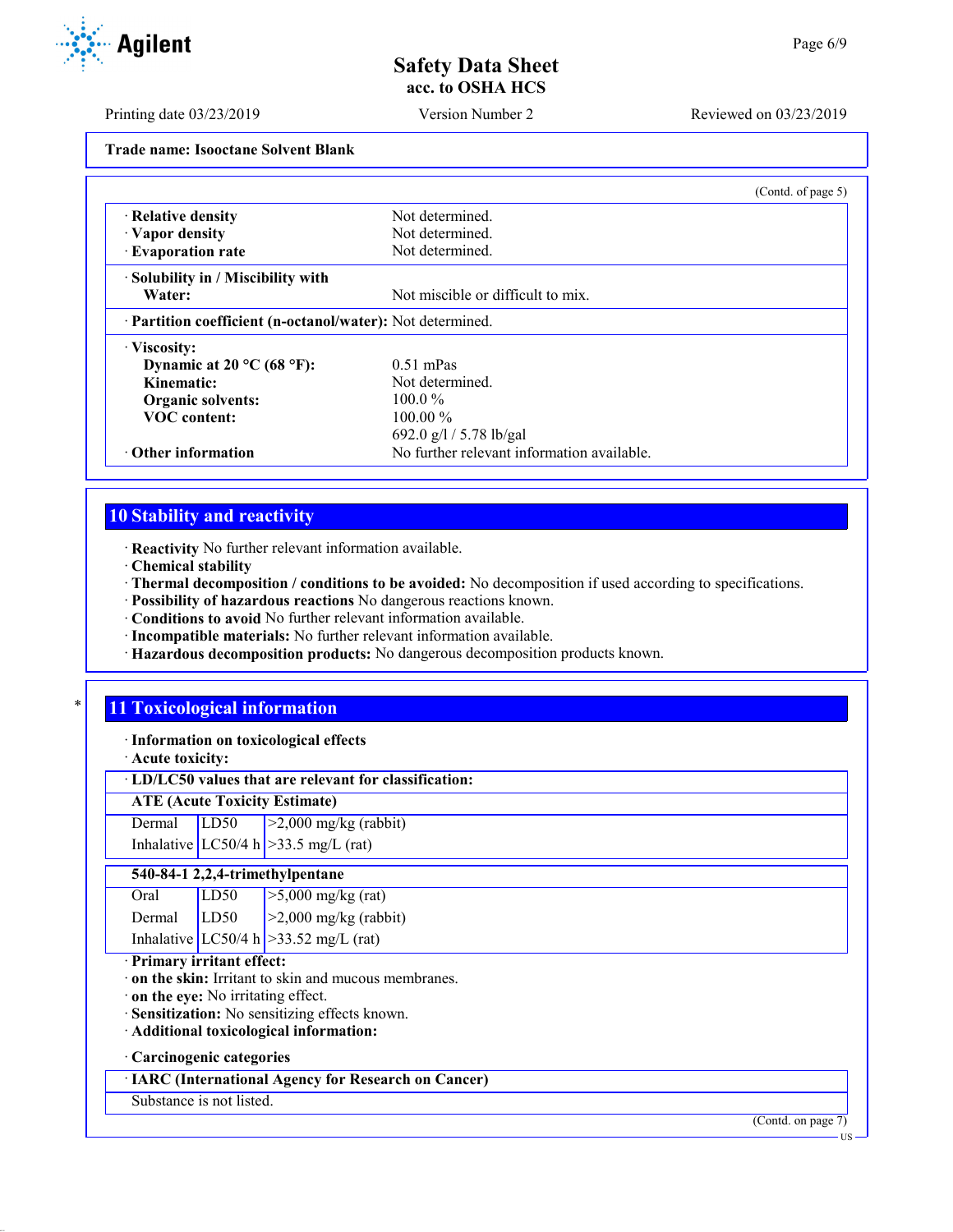Printing date 03/23/2019 Version Number 2 Reviewed on 03/23/2019

**Trade name: Isooctane Solvent Blank**

|                                                            |                                            | (Contd. of page 5) |
|------------------------------------------------------------|--------------------------------------------|--------------------|
| · Relative density                                         | Not determined.                            |                    |
| · Vapor density                                            | Not determined.                            |                    |
| · Evaporation rate                                         | Not determined.                            |                    |
| · Solubility in / Miscibility with                         |                                            |                    |
| Water:                                                     | Not miscible or difficult to mix.          |                    |
| · Partition coefficient (n-octanol/water): Not determined. |                                            |                    |
| · Viscosity:                                               |                                            |                    |
| Dynamic at 20 °C (68 °F):                                  | $0.51$ mPas                                |                    |
| Kinematic:                                                 | Not determined.                            |                    |
| Organic solvents:                                          | $100.0\%$                                  |                    |
| <b>VOC</b> content:                                        | $100.00\%$                                 |                    |
|                                                            | 692.0 g/l / 5.78 lb/gal                    |                    |
| $\cdot$ Other information                                  | No further relevant information available. |                    |

# **10 Stability and reactivity**

· **Reactivity** No further relevant information available.

· **Chemical stability**

· **Thermal decomposition / conditions to be avoided:** No decomposition if used according to specifications.

· **Possibility of hazardous reactions** No dangerous reactions known.

· **Conditions to avoid** No further relevant information available.

- · **Incompatible materials:** No further relevant information available.
- · **Hazardous decomposition products:** No dangerous decomposition products known.

## **11 Toxicological information**

· **Information on toxicological effects**

· **Acute toxicity:**

· **LD/LC50 values that are relevant for classification:**

| <b>ATE (Acute Toxicity Estimate)</b> |  |
|--------------------------------------|--|
|--------------------------------------|--|

| Dermal LD50 | $\geq$ 2,000 mg/kg (rabbit)             |
|-------------|-----------------------------------------|
|             | Inhalative LC50/4 h $>$ 33.5 mg/L (rat) |

## **540-84-1 2,2,4-trimethylpentane**

| Oral   | LD50 | $\sqrt{5,000}$ mg/kg (rat)               |
|--------|------|------------------------------------------|
| Dermal | LD50 | $ >2,000$ mg/kg (rabbit)                 |
|        |      | Inhalative $LC50/4 h$ > 33.52 mg/L (rat) |

#### · **Primary irritant effect:**

· **on the skin:** Irritant to skin and mucous membranes.

· **on the eye:** No irritating effect.

· **Sensitization:** No sensitizing effects known.

· **Additional toxicological information:**

#### · **Carcinogenic categories**

· **IARC (International Agency for Research on Cancer)**

## Substance is not listed.

(Contd. on page 7)

**TIC** 

**Agilent**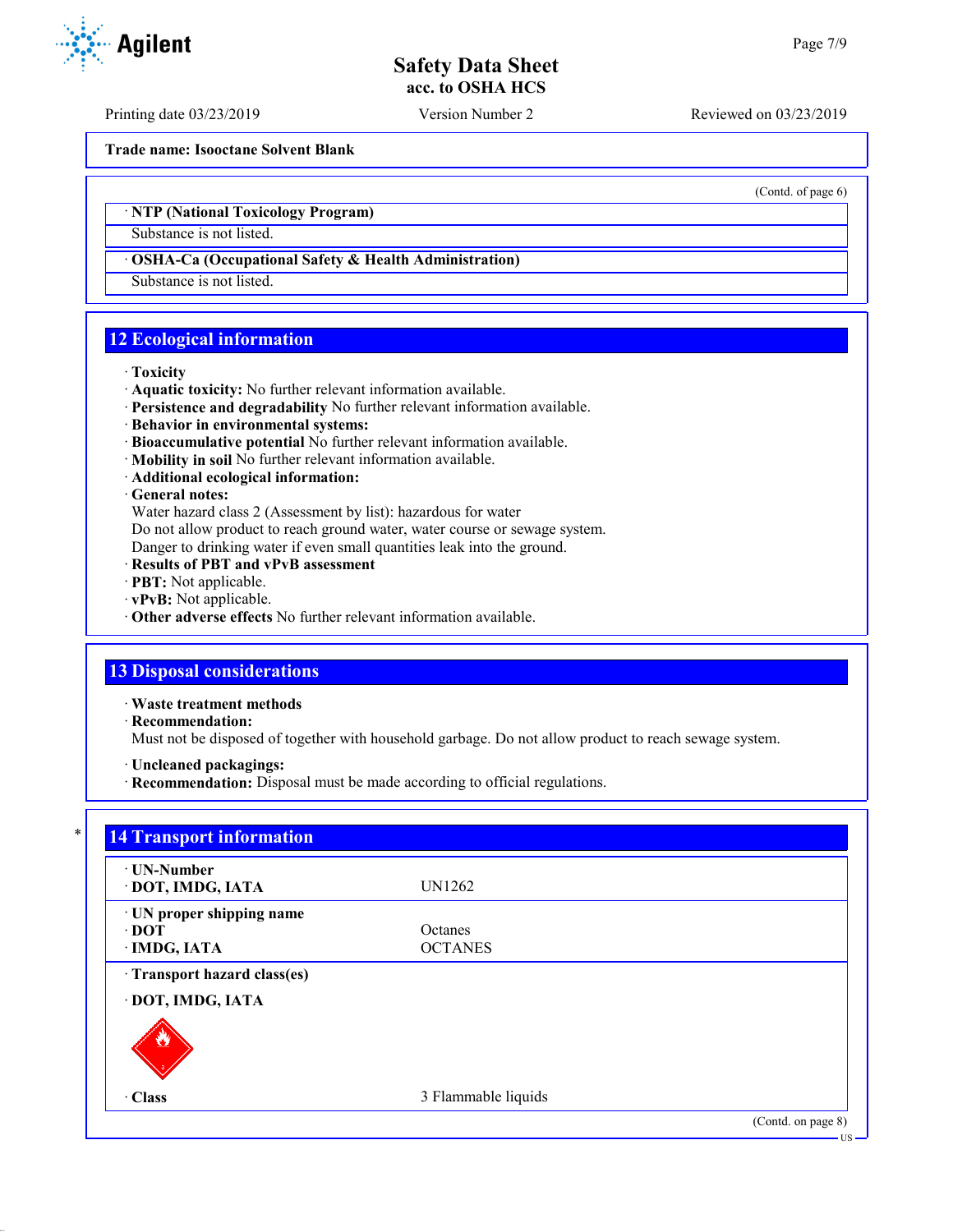Printing date 03/23/2019 Version Number 2 Reviewed on 03/23/2019

**Trade name: Isooctane Solvent Blank**

(Contd. of page 6)

## · **NTP (National Toxicology Program)**

Substance is not listed.

#### · **OSHA-Ca (Occupational Safety & Health Administration)**

Substance is not listed.

## **12 Ecological information**

#### · **Toxicity**

- · **Aquatic toxicity:** No further relevant information available.
- · **Persistence and degradability** No further relevant information available.
- · **Behavior in environmental systems:**
- · **Bioaccumulative potential** No further relevant information available.
- · **Mobility in soil** No further relevant information available.
- · **Additional ecological information:**

#### · **General notes:**

Water hazard class 2 (Assessment by list): hazardous for water

Do not allow product to reach ground water, water course or sewage system.

Danger to drinking water if even small quantities leak into the ground.

- · **Results of PBT and vPvB assessment**
- · **PBT:** Not applicable.
- · **vPvB:** Not applicable.
- · **Other adverse effects** No further relevant information available.

# **13 Disposal considerations**

· **Waste treatment methods**

· **Recommendation:**

Must not be disposed of together with household garbage. Do not allow product to reach sewage system.

- · **Uncleaned packagings:**
- · **Recommendation:** Disposal must be made according to official regulations.

| · UN-Number               |                     |  |
|---------------------------|---------------------|--|
| · DOT, IMDG, IATA         | UN1262              |  |
| · UN proper shipping name |                     |  |
| $\cdot$ DOT               | <b>Octanes</b>      |  |
| · IMDG, IATA              | <b>OCTANES</b>      |  |
| · DOT, IMDG, IATA<br>Ġ.   | 3 Flammable liquids |  |

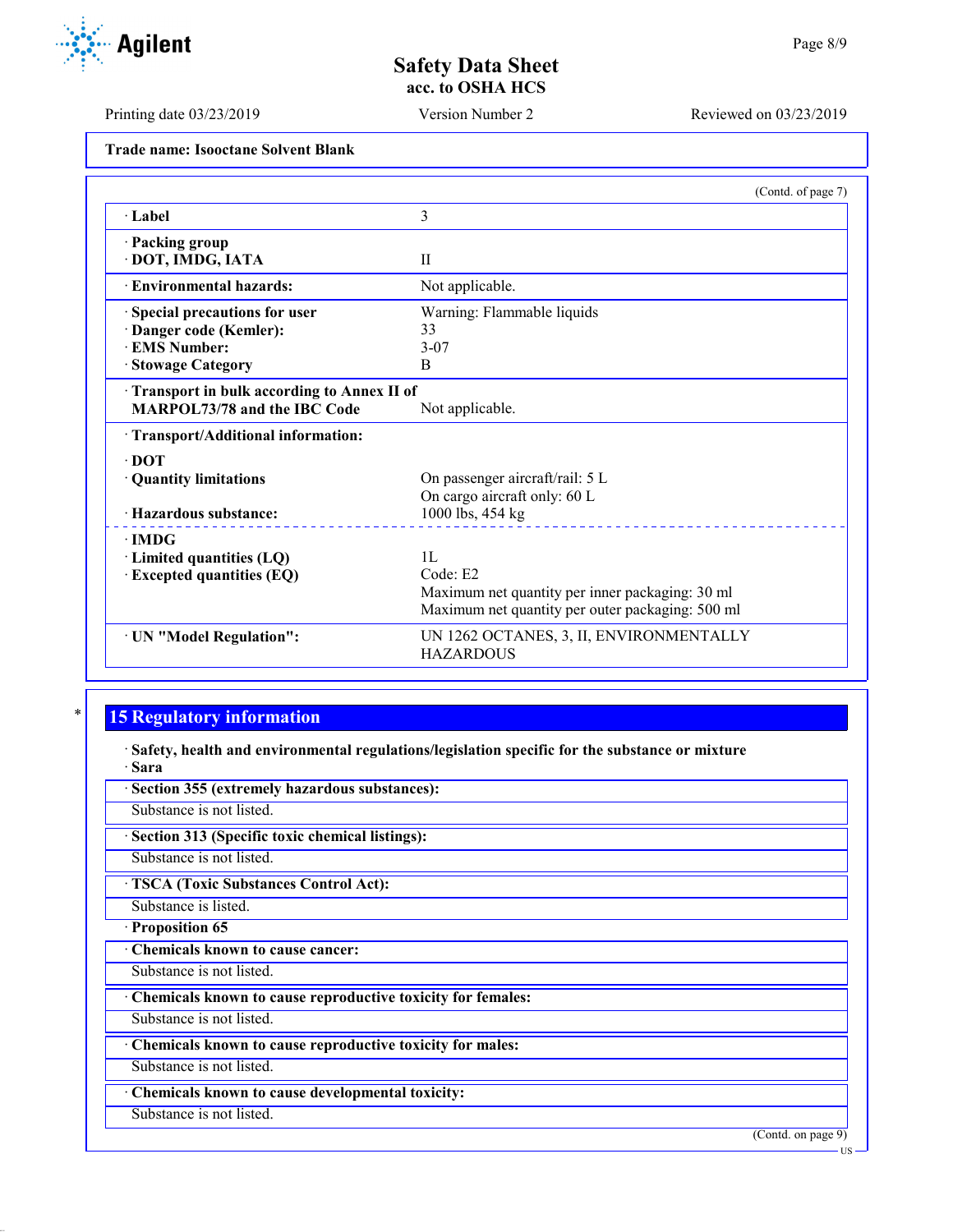**Trade name: Isooctane Solvent Blank**

|                                            | (Contd. of page 7)                               |
|--------------------------------------------|--------------------------------------------------|
| · Label                                    | 3                                                |
| · Packing group                            |                                                  |
| · DOT, IMDG, IATA                          | $\mathbf{I}$                                     |
| · Environmental hazards:                   | Not applicable.                                  |
| Special precautions for user               | Warning: Flammable liquids                       |
| Danger code (Kemler):                      | 33                                               |
| <b>EMS Number:</b>                         | $3 - 07$                                         |
| <b>Stowage Category</b>                    | B                                                |
| Transport in bulk according to Annex II of |                                                  |
| <b>MARPOL73/78 and the IBC Code</b>        | Not applicable.                                  |
| · Transport/Additional information:        |                                                  |
| $\cdot$ DOT                                |                                                  |
| · Quantity limitations                     | On passenger aircraft/rail: 5 L                  |
|                                            | On cargo aircraft only: 60 L                     |
| · Hazardous substance:                     | 1000 lbs, 454 kg                                 |
| $\cdot$ IMDG                               |                                                  |
| · Limited quantities (LQ)                  | 1L                                               |
| <b>Excepted quantities (EQ)</b>            | Code: E2                                         |
|                                            | Maximum net quantity per inner packaging: 30 ml  |
|                                            | Maximum net quantity per outer packaging: 500 ml |
| · UN "Model Regulation":                   | UN 1262 OCTANES, 3, II, ENVIRONMENTALLY          |
|                                            | <b>HAZARDOUS</b>                                 |

# **15 Regulatory information**

· **Safety, health and environmental regulations/legislation specific for the substance or mixture** · **Sara**

| · Section 355 (extremely hazardous substances):             |
|-------------------------------------------------------------|
| Substance is not listed.                                    |
| · Section 313 (Specific toxic chemical listings):           |
| Substance is not listed.                                    |
| <b>TSCA (Toxic Substances Control Act):</b>                 |
| Substance is listed.                                        |
| · Proposition 65                                            |
| Chemicals known to cause cancer:                            |
| Substance is not listed.                                    |
| Chemicals known to cause reproductive toxicity for females: |
| Substance is not listed.                                    |
| Chemicals known to cause reproductive toxicity for males:   |
| Substance is not listed.                                    |
| Chemicals known to cause developmental toxicity:            |
| Substance is not listed.                                    |
| (Contd. on page 9)                                          |
| ·US·                                                        |



Printing date 03/23/2019 Version Number 2 Reviewed on 03/23/2019